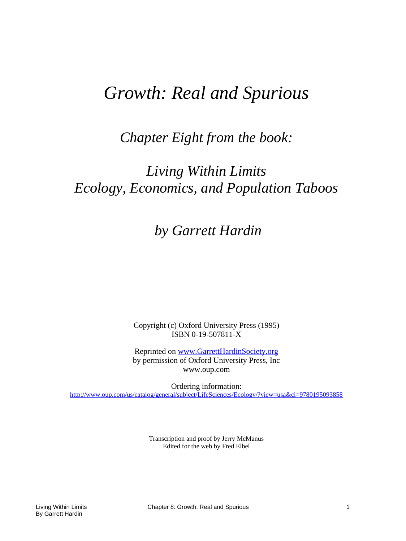# *Growth: Real and Spurious*

*Chapter Eight from the book:* 

# *Living Within Limits Ecology, Economics, and Population Taboos*

# *by Garrett Hardin*

Copyright (c) Oxford University Press (1995) ISBN 0-19-507811-X

Reprinted on [www.GarrettHardinSociety.org](http://www.garretthardinsociety.org/) by permission of Oxford University Press, Inc www.oup.com

Ordering information: <http://www.oup.com/us/catalog/general/subject/LifeSciences/Ecology/?view=usa&ci=9780195093858>

> Transcription and proof by Jerry McManus Edited for the web by Fred Elbel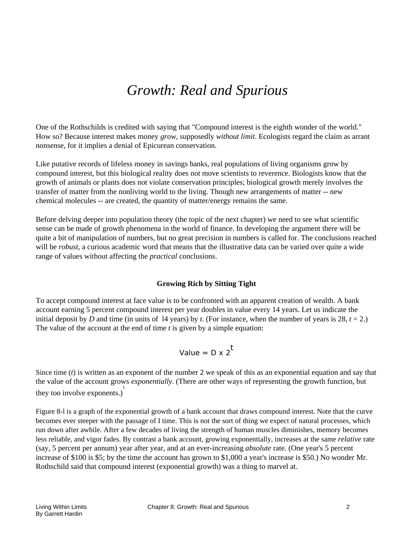# *Growth: Real and Spurious*

One of the Rothschilds is credited with saying that "Compound interest is the eighth wonder of the world." How so? Because interest makes money *grow*, supposedly *without limit*. Ecologists regard the claim as arrant nonsense, for it implies a denial of Epicurean conservation.

Like putative records of lifeless money in savings banks, real populations of living organisms grow by compound interest, but this biological reality does not move scientists to reverence. Biologists know that the growth of animals or plants does not violate conservation principles; biological growth merely involves the transfer of matter from the nonliving world to the living. Though new arrangements of matter -- new chemical molecules -- are created, the quantity of matter/energy remains the same.

Before delving deeper into population theory (the topic of the next chapter) we need to see what scientific sense can be made of growth phenomena in the world of finance. In developing the argument there will be quite a bit of manipulation of numbers, but no great precision in numbers is called for. The conclusions reached will be *robust*, a curious academic word that means that the illustrative data can be varied over quite a wide range of values without affecting the *practical* conclusions.

#### **Growing Rich by Sitting Tight**

To accept compound interest at face value is to be confronted with an apparent creation of wealth. A bank account earning 5 percent compound interest per year doubles in value every 14 years. Let us indicate the initial deposit by *D* and time (in units of 14 years) by *t*. (For instance, when the number of years is 28,  $t = 2$ .) The value of the account at the end of time *t* is given by a simple equation:

Value = 
$$
D \times 2^t
$$

Since time (*t*) is written as an exponent of the number 2 we speak of this as an exponential equation and say that the value of the account grows *exponentially*. (There are other ways of representing the growth function, but they too involve exponents.)

Figure 8-l is a graph of the exponential growth of a bank account that draws compound interest. Note that the curve becomes ever steeper with the passage of I time. This is not the sort of thing we expect of natural processes, which run down after awhile. After a few decades of living the strength of human muscles diminishes, memory becomes less reliable, and vigor fades. By contrast a bank account, growing exponentially, increases at the same *relative* rate (say, 5 percent per annum) year after year, and at an ever-increasing *absolute* rate. (One year's 5 percent increase of \$100 is \$5; by the time the account has grown to \$1,000 a year's increase is \$50.) No wonder Mr. Rothschild said that compound interest (exponential growth) was a thing to marvel at.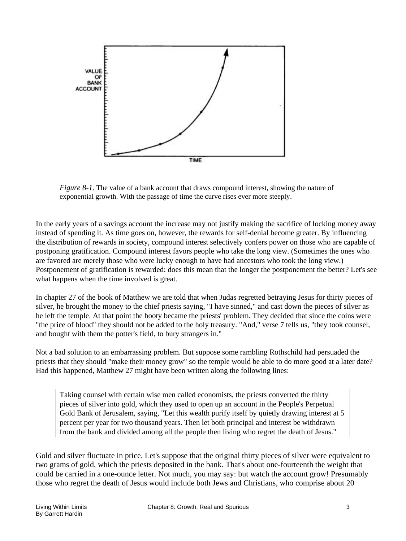

*Figure 8-1.* The value of a bank account that draws compound interest, showing the nature of exponential growth. With the passage of time the curve rises ever more steeply.

In the early years of a savings account the increase may not justify making the sacrifice of locking money away instead of spending it. As time goes on, however, the rewards for self-denial become greater. By influencing the distribution of rewards in society, compound interest selectively confers power on those who are capable of postponing gratification. Compound interest favors people who take the long view. (Sometimes the ones who are favored are merely those who were lucky enough to have had ancestors who took the long view.) Postponement of gratification is rewarded: does this mean that the longer the postponement the better? Let's see what happens when the time involved is great.

In chapter 27 of the book of Matthew we are told that when Judas regretted betraying Jesus for thirty pieces of silver, he brought the money to the chief priests saying, "I have sinned," and cast down the pieces of silver as he left the temple. At that point the booty became the priests' problem. They decided that since the coins were "the price of blood" they should not be added to the holy treasury. "And," verse 7 tells us, "they took counsel, and bought with them the potter's field, to bury strangers in."

Not a bad solution to an embarrassing problem. But suppose some rambling Rothschild had persuaded the priests that they should "make their money grow" so the temple would be able to do more good at a later date? Had this happened, Matthew 27 might have been written along the following lines:

Taking counsel with certain wise men called economists, the priests converted the thirty pieces of silver into gold, which they used to open up an account in the People's Perpetual Gold Bank of Jerusalem, saying, "Let this wealth purify itself by quietly drawing interest at 5 percent per year for two thousand years. Then let both principal and interest be withdrawn from the bank and divided among all the people then living who regret the death of Jesus."

Gold and silver fluctuate in price. Let's suppose that the original thirty pieces of silver were equivalent to two grams of gold, which the priests deposited in the bank. That's about one-fourteenth the weight that could be carried in a one-ounce letter. Not much, you may say: but watch the account grow! Presumably those who regret the death of Jesus would include both Jews and Christians, who comprise about 20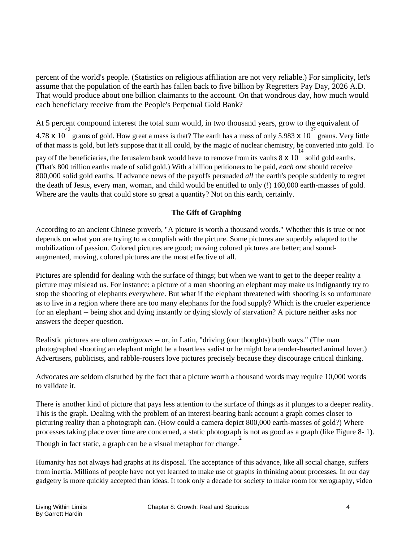percent of the world's people. (Statistics on religious affiliation are not very reliable.) For simplicity, let's assume that the population of the earth has fallen back to five billion by Regretters Pay Day, 2026 A.D. That would produce about one billion claimants to the account. On that wondrous day, how much would each beneficiary receive from the People's Perpetual Gold Bank?

At 5 percent compound interest the total sum would, in two thousand years, grow to the equivalent of 4.78 x 10 grams of gold. How great a mass is that? The earth has a mass of only 5.983 x 10 grams. Very little of that mass is gold, but let's suppose that it all could, by the magic of nuclear chemistry, be converted into gold. To

pay off the beneficiaries, the Jerusalem bank would have to remove from its vaults 8 x 10<sup>14</sup> solid gold earths. (That's 800 trillion earths made of solid gold.) With a billion petitioners to be paid, *each one* should receive 800,000 solid gold earths. If advance news of the payoffs persuaded *all* the earth's people suddenly to regret the death of Jesus, every man, woman, and child would be entitled to only (!) 160,000 earth-masses of gold. Where are the vaults that could store so great a quantity? Not on this earth, certainly.

#### **The Gift of Graphing**

According to an ancient Chinese proverb, "A picture is worth a thousand words." Whether this is true or not depends on what you are trying to accomplish with the picture. Some pictures are superbly adapted to the mobilization of passion. Colored pictures are good; moving colored pictures are better; and soundaugmented, moving, colored pictures are the most effective of all.

Pictures are splendid for dealing with the surface of things; but when we want to get to the deeper reality a picture may mislead us. For instance: a picture of a man shooting an elephant may make us indignantly try to stop the shooting of elephants everywhere. But what if the elephant threatened with shooting is so unfortunate as to live in a region where there are too many elephants for the food supply? Which is the crueler experience for an elephant -- being shot and dying instantly or dying slowly of starvation? A picture neither asks nor answers the deeper question.

Realistic pictures are often *ambiguous* -- or, in Latin, "driving (our thoughts) both ways." (The man photographed shooting an elephant might be a heartless sadist or he might be a tender-hearted animal lover.) Advertisers, publicists, and rabble-rousers love pictures precisely because they discourage critical thinking.

Advocates are seldom disturbed by the fact that a picture worth a thousand words may require 10,000 words to validate it.

There is another kind of picture that pays less attention to the surface of things as it plunges to a deeper reality. This is the graph. Dealing with the problem of an interest-bearing bank account a graph comes closer to picturing reality than a photograph can. (How could a camera depict 800,000 earth-masses of gold?) Where processes taking place over time are concerned, a static photograph is not as good as a graph (like Figure 8- 1). Though in fact static, a graph can be a visual metaphor for change.

Humanity has not always had graphs at its disposal. The acceptance of this advance, like all social change, suffers from inertia. Millions of people have not yet learned to make use of graphs in thinking about processes. In our day gadgetry is more quickly accepted than ideas. It took only a decade for society to make room for xerography, video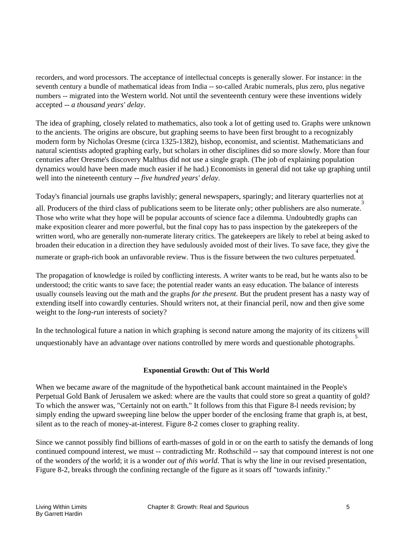recorders, and word processors. The acceptance of intellectual concepts is generally slower. For instance: in the seventh century a bundle of mathematical ideas from India -- so-called Arabic numerals, plus zero, plus negative numbers -- migrated into the Western world. Not until the seventeenth century were these inventions widely accepted -- *a thousand years' delay*.

The idea of graphing, closely related to mathematics, also took a lot of getting used to. Graphs were unknown to the ancients. The origins are obscure, but graphing seems to have been first brought to a recognizably modern form by Nicholas Oresme (circa 1325-1382), bishop, economist, and scientist. Mathematicians and natural scientists adopted graphing early, but scholars in other disciplines did so more slowly. More than four centuries after Oresme's discovery Malthus did not use a single graph. (The job of explaining population dynamics would have been made much easier if he had.) Economists in general did not take up graphing until well into the nineteenth century -- *five hundred years' delay*.

Today's financial journals use graphs lavishly; general newspapers, sparingly; and literary quarterlies not at

all. Producers of the third class of publications seem to be literate only; other publishers are also numerate. Those who write what they hope will be popular accounts of science face a dilemma. Undoubtedly graphs can make exposition clearer and more powerful, but the final copy has to pass inspection by the gatekeepers of the written word, who are generally non-numerate literary critics. The gatekeepers are likely to rebel at being asked to broaden their education in a direction they have sedulously avoided most of their lives. To save face, they give the numerate or graph-rich book an unfavorable review. Thus is the fissure between the two cultures perpetuated. 4

The propagation of knowledge is roiled by conflicting interests. A writer wants to be read, but he wants also to be understood; the critic wants to save face; the potential reader wants an easy education. The balance of interests usually counsels leaving out the math and the graphs *for the present*. But the prudent present has a nasty way of extending itself into cowardly centuries. Should writers not, at their financial peril, now and then give some weight to the *long-run* interests of society?

In the technological future a nation in which graphing is second nature among the majority of its citizens will unquestionably have an advantage over nations controlled by mere words and questionable photographs. 5

# **Exponential Growth: Out of This World**

When we became aware of the magnitude of the hypothetical bank account maintained in the People's Perpetual Gold Bank of Jerusalem we asked: where are the vaults that could store so great a quantity of gold? To which the answer was, "Certainly not on earth." It follows from this that Figure 8-l needs revision; by simply ending the upward sweeping line below the upper border of the enclosing frame that graph is, at best, silent as to the reach of money-at-interest. Figure 8-2 comes closer to graphing reality.

Since we cannot possibly find billions of earth-masses of gold in or on the earth to satisfy the demands of long continued compound interest, we must -- contradicting Mr. Rothschild -- say that compound interest is not one of the wonders *of* the world; it is a wonder *out of this world*. That is why the line in our revised presentation, Figure 8-2, breaks through the confining rectangle of the figure as it soars off "towards infinity."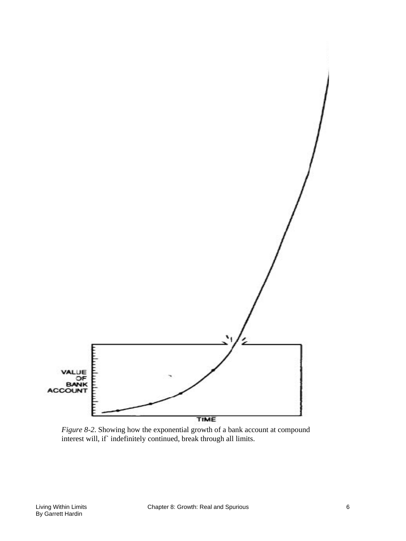

*Figure 8-2*. Showing how the exponential growth of a bank account at compound interest will, if` indefinitely continued, break through all limits.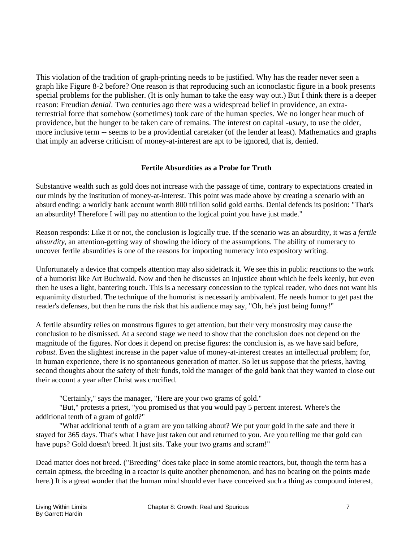This violation of the tradition of graph-printing needs to be justified. Why has the reader never seen a graph like Figure 8-2 before? One reason is that reproducing such an iconoclastic figure in a book presents special problems for the publisher. (It is only human to take the easy way out.) But I think there is a deeper reason: Freudian *denial*. Two centuries ago there was a widespread belief in providence, an extraterrestrial force that somehow (sometimes) took care of the human species. We no longer hear much of providence, but the hunger to be taken care of remains. The interest on capital -*usury*, to use the older, more inclusive term -- seems to be a providential caretaker (of the lender at least). Mathematics and graphs that imply an adverse criticism of money-at-interest are apt to be ignored, that is, denied.

#### **Fertile Absurdities as a Probe for Truth**

Substantive wealth such as gold does not increase with the passage of time, contrary to expectations created in our minds by the institution of money-at-interest. This point was made above by creating a scenario with an absurd ending: a worldly bank account worth 800 trillion solid gold earths. Denial defends its position: "That's an absurdity! Therefore I will pay no attention to the logical point you have just made."

Reason responds: Like it or not, the conclusion is logically true. If the scenario was an absurdity, it was a *fertile absurdity*, an attention-getting way of showing the idiocy of the assumptions. The ability of numeracy to uncover fertile absurdities is one of the reasons for importing numeracy into expository writing.

Unfortunately a device that compels attention may also sidetrack it. We see this in public reactions to the work of a humorist like Art Buchwald. Now and then he discusses an injustice about which he feels keenly, but even then he uses a light, bantering touch. This is a necessary concession to the typical reader, who does not want his equanimity disturbed. The technique of the humorist is necessarily ambivalent. He needs humor to get past the reader's defenses, but then he runs the risk that his audience may say, "Oh, he's just being funny!"

A fertile absurdity relies on monstrous figures to get attention, but their very monstrosity may cause the conclusion to be dismissed. At a second stage we need to show that the conclusion does not depend on the magnitude of the figures. Nor does it depend on precise figures: the conclusion is, as we have said before, *robust*. Even the slightest increase in the paper value of money-at-interest creates an intellectual problem; for, in human experience, there is no spontaneous generation of matter. So let us suppose that the priests, having second thoughts about the safety of their funds, told the manager of the gold bank that they wanted to close out their account a year after Christ was crucified.

"Certainly," says the manager, "Here are your two grams of gold."

"But," protests a priest, "you promised us that you would pay 5 percent interest. Where's the additional tenth of a gram of gold?"

"What additional tenth of a gram are you talking about? We put your gold in the safe and there it stayed for 365 days. That's what I have just taken out and returned to you. Are you telling me that gold can have pups? Gold doesn't breed. It just sits. Take your two grams and scram!"

Dead matter does not breed. ("Breeding" does take place in some atomic reactors, but, though the term has a certain aptness, the breeding in a reactor is quite another phenomenon, and has no bearing on the points made here.) It is a great wonder that the human mind should ever have conceived such a thing as compound interest,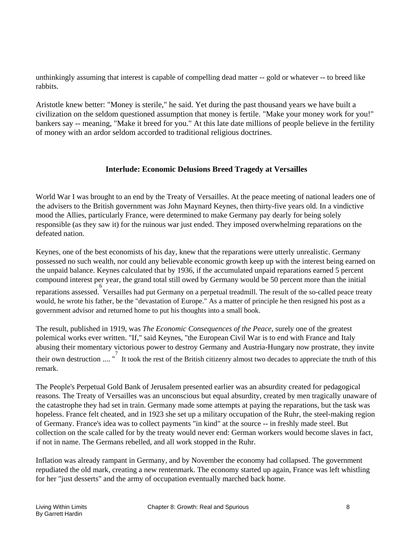unthinkingly assuming that interest is capable of compelling dead matter -- gold or whatever -- to breed like rabbits.

Aristotle knew better: "Money is sterile," he said. Yet during the past thousand years we have built a civilization on the seldom questioned assumption that money is fertile. "Make your money work for you!" bankers say -- meaning, "Make it breed for you." At this late date millions of people believe in the fertility of money with an ardor seldom accorded to traditional religious doctrines.

# **Interlude: Economic Delusions Breed Tragedy at Versailles**

World War I was brought to an end by the Treaty of Versailles. At the peace meeting of national leaders one of the advisers to the British government was John Maynard Keynes, then thirty-five years old. In a vindictive mood the Allies, particularly France, were determined to make Germany pay dearly for being solely responsible (as they saw it) for the ruinous war just ended. They imposed overwhelming reparations on the defeated nation.

Keynes, one of the best economists of his day, knew that the reparations were utterly unrealistic. Germany possessed no such wealth, nor could any believable economic growth keep up with the interest being earned on the unpaid balance. Keynes calculated that by 1936, if the accumulated unpaid reparations earned 5 percent compound interest per year, the grand total still owed by Germany would be 50 percent more than the initial reparations assessed. Versailles had put Germany on a perpetual treadmill. The result of the so-called peace treaty would, he wrote his father, be the "devastation of Europe." As a matter of principle he then resigned his post as a government advisor and returned home to put his thoughts into a small book.

The result, published in 1919, was *The Economic Consequences of the Peace*, surely one of the greatest polemical works ever written. "If," said Keynes, "the European Civil War is to end with France and Italy abusing their momentary victorious power to destroy Germany and Austria-Hungary now prostrate, they invite their own destruction .... "<sup>7</sup> It took the rest of the British citizenry almost two decades to appreciate the truth of this remark.

The People's Perpetual Gold Bank of Jerusalem presented earlier was an absurdity created for pedagogical reasons. The Treaty of Versailles was an unconscious but equal absurdity, created by men tragically unaware of the catastrophe they had set in train. Germany made some attempts at paying the reparations, but the task was hopeless. France felt cheated, and in 1923 she set up a military occupation of the Ruhr, the steel-making region of Germany. France's idea was to collect payments "in kind" at the source -- in freshly made steel. But collection on the scale called for by the treaty would never end: German workers would become slaves in fact, if not in name. The Germans rebelled, and all work stopped in the Ruhr.

Inflation was already rampant in Germany, and by November the economy had collapsed. The government repudiated the old mark, creating a new rentenmark. The economy started up again, France was left whistling for her "just desserts" and the army of occupation eventually marched back home.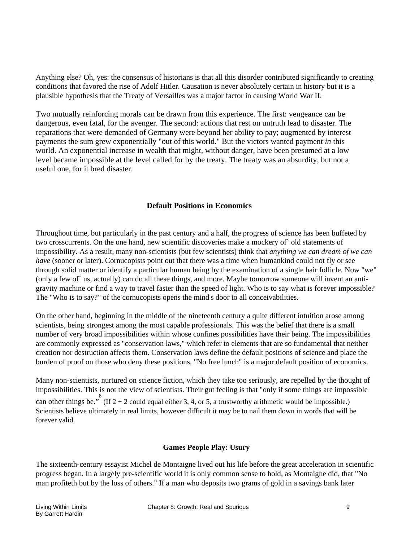Anything else? Oh, yes: the consensus of historians is that all this disorder contributed significantly to creating conditions that favored the rise of Adolf Hitler. Causation is never absolutely certain in history but it is a plausible hypothesis that the Treaty of Versailles was a major factor in causing World War II.

Two mutually reinforcing morals can be drawn from this experience. The first: vengeance can be dangerous, even fatal, for the avenger. The second: actions that rest on untruth lead to disaster. The reparations that were demanded of Germany were beyond her ability to pay; augmented by interest payments the sum grew exponentially "out of this world." But the victors wanted payment *in* this world. An exponential increase in wealth that might, without danger, have been presumed at a low level became impossible at the level called for by the treaty. The treaty was an absurdity, but not a useful one, for it bred disaster.

#### **Default Positions in Economics**

Throughout time, but particularly in the past century and a half, the progress of science has been buffeted by two crosscurrents. On the one hand, new scientific discoveries make a mockery of` old statements of impossibility. As a result, many non-scientists (but few scientists) think that *anything we can dream of we can have* (sooner or later). Cornucopists point out that there was a time when humankind could not fly or see through solid matter or identify a particular human being by the examination of a single hair follicle. Now "we" (only a few of` us, actually) can do all these things, and more. Maybe tomorrow someone will invent an antigravity machine or find a way to travel faster than the speed of light. Who is to say what is forever impossible? The "Who is to say?" of the cornucopists opens the mind's door to all conceivabilities.

On the other hand, beginning in the middle of the nineteenth century a quite different intuition arose among scientists, being strongest among the most capable professionals. This was the belief that there is a small number of very broad impossibilities within whose confines possibilities have their being. The impossibilities are commonly expressed as "conservation laws," which refer to elements that are so fundamental that neither creation nor destruction affects them. Conservation laws define the default positions of science and place the burden of proof on those who deny these positions. "No free lunch" is a major default position of economics.

Many non-scientists, nurtured on science fiction, which they take too seriously, are repelled by the thought of impossibilities. This is not the view of scientists. Their gut feeling is that "only if some things are impossible can other things be." (If  $2 + 2$  could equal either 3, 4, or 5, a trustworthy arithmetic would be impossible.) Scientists believe ultimately in real limits, however difficult it may be to nail them down in words that will be forever valid.

#### **Games People Play: Usury**

The sixteenth-century essayist Michel de Montaigne lived out his life before the great acceleration in scientific progress began. In a largely pre-scientific world it is only common sense to hold, as Montaigne did, that "No man profiteth but by the loss of others." If a man who deposits two grams of gold in a savings bank later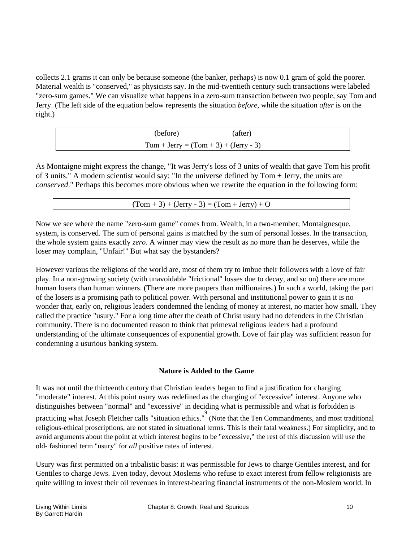collects 2.1 grams it can only be because someone (the banker, perhaps) is now 0.1 gram of gold the poorer. Material wealth is "conserved," as physicists say. In the mid-twentieth century such transactions were labeled "zero-sum games." We can visualize what happens in a zero-sum transaction between two people, say Tom and Jerry. (The left side of the equation below represents the situation *before*, while the situation *after* is on the right.)

| (before) | (after)                                 |  |
|----------|-----------------------------------------|--|
|          | Tom + Jerry = $(Tom + 3) + (Jerry - 3)$ |  |

As Montaigne might express the change, "It was Jerry's loss of 3 units of wealth that gave Tom his profit of 3 units." A modern scientist would say: "In the universe defined by Tom + Jerry, the units are *conserved*." Perhaps this becomes more obvious when we rewrite the equation in the following form:

 $(Tom + 3) + (Jerry - 3) = (Tom + Jerry) + O$ 

Now we see where the name "zero-sum game" comes from. Wealth, in a two-member, Montaignesque, system, is conserved. The sum of personal gains is matched by the sum of personal losses. In the transaction, the whole system gains exactly *zero*. A winner may view the result as no more than he deserves, while the loser may complain, "Unfair!" But what say the bystanders?

However various the religions of the world are, most of them try to imbue their followers with a love of fair play. In a non-growing society (with unavoidable "frictional" losses due to decay, and so on) there are more human losers than human winners. (There are more paupers than millionaires.) In such a world, taking the part of the losers is a promising path to political power. With personal and institutional power to gain it is no wonder that, early on, religious leaders condemned the lending of money at interest, no matter how small. They called the practice "usury." For a long time after the death of Christ usury had no defenders in the Christian community. There is no documented reason to think that primeval religious leaders had a profound understanding of the ultimate consequences of exponential growth. Love of fair play was sufficient reason for condemning a usurious banking system.

#### **Nature is Added to the Game**

It was not until the thirteenth century that Christian leaders began to find a justification for charging "moderate" interest. At this point usury was redefined as the charging of "excessive" interest. Anyone who distinguishes between "normal" and "excessive" in deciding what is permissible and what is forbidden is

practicing what Joseph Fletcher calls "situation ethics." (Note that the Ten Commandments, and most traditional religious-ethical proscriptions, are not stated in situational terms. This is their fatal weakness.) For simplicity, and to avoid arguments about the point at which interest begins to be "excessive," the rest of this discussion will use the old- fashioned term "usury" for *all* positive rates of interest.

Usury was first permitted on a tribalistic basis: it was permissible for Jews to charge Gentiles interest, and for Gentiles to charge Jews. Even today, devout Moslems who refuse to exact interest from fellow religionists are quite willing to invest their oil revenues in interest-bearing financial instruments of the non-Moslem world. In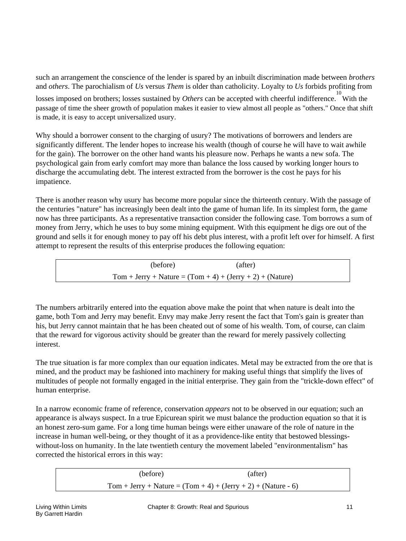such an arrangement the conscience of the lender is spared by an inbuilt discrimination made between *brothers* and *others*. The parochialism of *Us* versus *Them* is older than catholicity. Loyalty to *Us* forbids profiting from

losses imposed on brothers; losses sustained by *Others* can be accepted with cheerful indifference. With the passage of time the sheer growth of population makes it easier to view almost all people as "others." Once that shift is made, it is easy to accept universalized usury.

Why should a borrower consent to the charging of usury? The motivations of borrowers and lenders are significantly different. The lender hopes to increase his wealth (though of course he will have to wait awhile for the gain). The borrower on the other hand wants his pleasure now. Perhaps he wants a new sofa. The psychological gain from early comfort may more than balance the loss caused by working longer hours to discharge the accumulating debt. The interest extracted from the borrower is the cost he pays for his impatience.

There is another reason why usury has become more popular since the thirteenth century. With the passage of the centuries "nature" has increasingly been dealt into the game of human life. In its simplest form, the game now has three participants. As a representative transaction consider the following case. Tom borrows a sum of money from Jerry, which he uses to buy some mining equipment. With this equipment he digs ore out of the ground and sells it for enough money to pay off his debt plus interest, with a profit left over for himself. A first attempt to represent the results of this enterprise produces the following equation:

| (before)                                                    | (after) |  |
|-------------------------------------------------------------|---------|--|
| $Tom + Jerry + Nature = (Tom + 4) + (Jerry + 2) + (Nature)$ |         |  |

The numbers arbitrarily entered into the equation above make the point that when nature is dealt into the game, both Tom and Jerry may benefit. Envy may make Jerry resent the fact that Tom's gain is greater than his, but Jerry cannot maintain that he has been cheated out of some of his wealth. Tom, of course, can claim that the reward for vigorous activity should be greater than the reward for merely passively collecting interest.

The true situation is far more complex than our equation indicates. Metal may be extracted from the ore that is mined, and the product may be fashioned into machinery for making useful things that simplify the lives of multitudes of people not formally engaged in the initial enterprise. They gain from the "trickle-down effect" of human enterprise.

In a narrow economic frame of reference, conservation *appears* not to be observed in our equation; such an appearance is always suspect. In a true Epicurean spirit we must balance the production equation so that it is an honest zero-sum game. For a long time human beings were either unaware of the role of nature in the increase in human well-being, or they thought of it as a providence-like entity that bestowed blessingswithout-loss on humanity. In the late twentieth century the movement labeled "environmentalism" has corrected the historical errors in this way:

| (before)                                                        | (after) |  |
|-----------------------------------------------------------------|---------|--|
| Tom + Jerry + Nature = $(Tom + 4) + (Jerry + 2) + (Nature - 6)$ |         |  |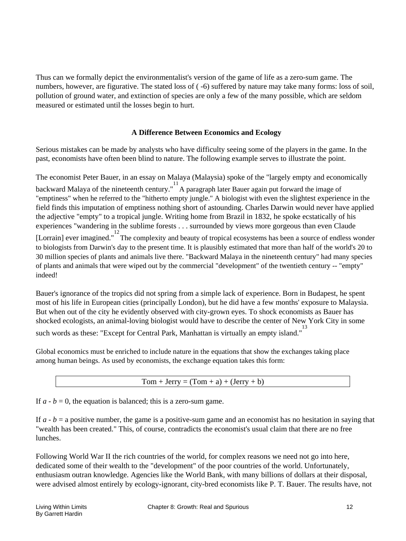Thus can we formally depict the environmentalist's version of the game of life as a zero-sum game. The numbers, however, are figurative. The stated loss of ( -6) suffered by nature may take many forms: loss of soil, pollution of ground water, and extinction of species are only a few of the many possible, which are seldom measured or estimated until the losses begin to hurt.

#### **A Difference Between Economics and Ecology**

Serious mistakes can be made by analysts who have difficulty seeing some of the players in the game. In the past, economists have often been blind to nature. The following example serves to illustrate the point.

The economist Peter Bauer, in an essay on Malaya (Malaysia) spoke of the "largely empty and economically backward Malaya of the nineteenth century." 11 A paragraph later Bauer again put forward the image of "emptiness" when he referred to the "hitherto empty jungle." A biologist with even the slightest experience in the field finds this imputation of emptiness nothing short of astounding. Charles Darwin would never have applied the adjective "empty" to a tropical jungle. Writing home from Brazil in 1832, he spoke ecstatically of his experiences "wandering in the sublime forests . . . surrounded by views more gorgeous than even Claude

<sup>12</sup><br>[Lorrain] ever imagined." The complexity and beauty of tropical ecosystems has been a source of endless wonder to biologists from Darwin's day to the present time. It is plausibly estimated that more than half of the world's 20 to 30 million species of plants and animals live there. "Backward Malaya in the nineteenth century" had many species of plants and animals that were wiped out by the commercial "development" of the twentieth century -- "empty" indeed!

Bauer's ignorance of the tropics did not spring from a simple lack of experience. Born in Budapest, he spent most of his life in European cities (principally London), but he did have a few months' exposure to Malaysia. But when out of the city he evidently observed with city-grown eyes. To shock economists as Bauer has shocked ecologists, an animal-loving biologist would have to describe the center of New York City in some such words as these: "Except for Central Park, Manhattan is virtually an empty island."<sup>13</sup>

Global economics must be enriched to include nature in the equations that show the exchanges taking place among human beings. As used by economists, the exchange equation takes this form:

If  $a - b = 0$ , the equation is balanced; this is a zero-sum game.

If *a - b* = a positive number, the game is a positive-sum game and an economist has no hesitation in saying that "wealth has been created." This, of course, contradicts the economist's usual claim that there are no free lunches.

Following World War II the rich countries of the world, for complex reasons we need not go into here, dedicated some of their wealth to the "development" of the poor countries of the world. Unfortunately, enthusiasm outran knowledge. Agencies like the World Bank, with many billions of dollars at their disposal, were advised almost entirely by ecology-ignorant, city-bred economists like P. T. Bauer. The results have, not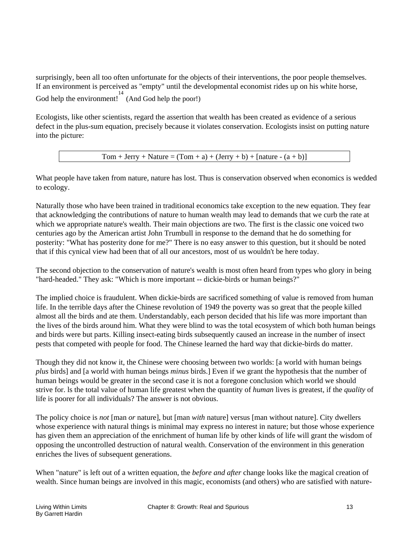surprisingly, been all too often unfortunate for the objects of their interventions, the poor people themselves. If an environment is perceived as "empty" until the developmental economist rides up on his white horse, God help the environment!  $\int_{14}^{14}$  (And God help the poor!)

Ecologists, like other scientists, regard the assertion that wealth has been created as evidence of a serious defect in the plus-sum equation, precisely because it violates conservation. Ecologists insist on putting nature into the picture:

Tom + Jerry + Nature =  $(Tom + a) + (Jerry + b) + [nature - (a + b)]$ 

What people have taken from nature, nature has lost. Thus is conservation observed when economics is wedded to ecology.

Naturally those who have been trained in traditional economics take exception to the new equation. They fear that acknowledging the contributions of nature to human wealth may lead to demands that we curb the rate at which we appropriate nature's wealth. Their main objections are two. The first is the classic one voiced two centuries ago by the American artist John Trumbull in response to the demand that he do something for posterity: "What has posterity done for me?" There is no easy answer to this question, but it should be noted that if this cynical view had been that of all our ancestors, most of us wouldn't be here today.

The second objection to the conservation of nature's wealth is most often heard from types who glory in being "hard-headed." They ask: "Which is more important -- dickie-birds or human beings?"

The implied choice is fraudulent. When dickie-birds are sacrificed something of value is removed from human life. In the terrible days after the Chinese revolution of 1949 the poverty was so great that the people killed almost all the birds and ate them. Understandably, each person decided that his life was more important than the lives of the birds around him. What they were blind to was the total ecosystem of which both human beings and birds were but parts. Killing insect-eating birds subsequently caused an increase in the number of insect pests that competed with people for food. The Chinese learned the hard way that dickie-birds do matter.

Though they did not know it, the Chinese were choosing between two worlds: [a world with human beings *plus* birds] and [a world with human beings *minus* birds.] Even if we grant the hypothesis that the number of human beings would be greater in the second case it is not a foregone conclusion which world we should strive for. ls the total value of human life greatest when the quantity of *human* lives is greatest, if the *quality* of life is poorer for all individuals? The answer is not obvious.

The policy choice is *not* [man *or* nature], but [man *with* nature] versus [man without nature]. City dwellers whose experience with natural things is minimal may express no interest in nature; but those whose experience has given them an appreciation of the enrichment of human life by other kinds of life will grant the wisdom of opposing the uncontrolled destruction of natural wealth. Conservation of the environment in this generation enriches the lives of subsequent generations.

When "nature" is left out of a written equation, the *before and after* change looks like the magical creation of wealth. Since human beings are involved in this magic, economists (and others) who are satisfied with nature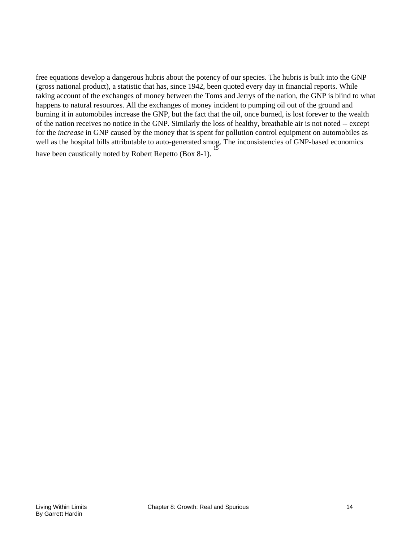free equations develop a dangerous hubris about the potency of our species. The hubris is built into the GNP (gross national product), a statistic that has, since 1942, been quoted every day in financial reports. While taking account of the exchanges of money between the Toms and Jerrys of the nation, the GNP is blind to what happens to natural resources. All the exchanges of money incident to pumping oil out of the ground and burning it in automobiles increase the GNP, but the fact that the oil, once burned, is lost forever to the wealth of the nation receives no notice in the GNP. Similarly the loss of healthy, breathable air is not noted -- except for the *increase* in GNP caused by the money that is spent for pollution control equipment on automobiles as well as the hospital bills attributable to auto-generated smog. The inconsistencies of GNP-based economics have been caustically noted by Robert Repetto (Box 8-1).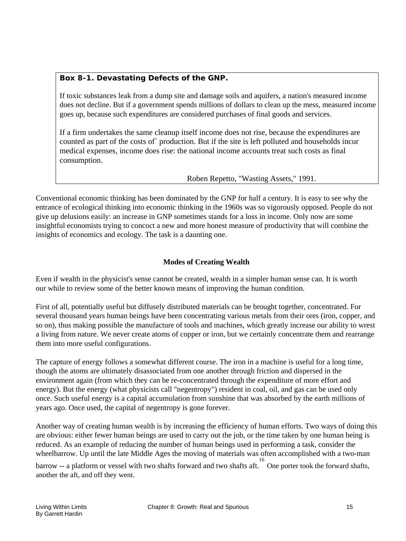# **Box 8-1. Devastating Defects of the GNP.**

If toxic substances leak from a dump site and damage soils and aquifers, a nation's measured income does not decline. But if a government spends millions of dollars to clean up the mess, measured income goes up, because such expenditures are considered purchases of final goods and services.

If a firm undertakes the same cleanup itself income does not rise, because the expenditures are counted as part of the costs of` production. But if the site is left polluted and households incur medical expenses, income does rise: the national income accounts treat such costs as final consumption.

Roben Repetto, "Wasting Assets," 1991.

Conventional economic thinking has been dominated by the GNP for half a century. It is easy to see why the entrance of ecological thinking into economic thinking in the 1960s was so vigorously opposed. People do not give up delusions easily: an increase in GNP sometimes stands for a loss in income. Only now are some insightful economists trying to concoct a new and more honest measure of productivity that will combine the insights of economics and ecology. The task is a daunting one.

# **Modes of Creating Wealth**

Even if wealth in the physicist's sense cannot be created, wealth in a simpler human sense can. It is worth our while to review some of the better known means of improving the human condition.

First of all, potentially useful but diffusely distributed materials can be brought together, concentrated. For several thousand years human beings have been concentrating various metals from their ores (iron, copper, and so on), thus making possible the manufacture of tools and machines, which greatly increase our ability to wrest a living from nature. We never create atoms of copper or iron, but we certainly concentrate them and rearrange them into more useful configurations.

The capture of energy follows a somewhat different course. The iron in a machine is useful for a long time, though the atoms are ultimately disassociated from one another through friction and dispersed in the environment again (from which they can be re-concentrated through the expenditure of more effort and energy). But the energy (what physicists call "negentropy") resident in coal, oil, and gas can be used only once. Such useful energy is a capital accumulation from sunshine that was absorbed by the earth millions of years ago. Once used, the capital of negentropy is gone forever.

Another way of creating human wealth is by increasing the efficiency of human efforts. Two ways of doing this are obvious: either fewer human beings are used to carry out the job, or the time taken by one human being is reduced. As an example of reducing the number of human beings used in performing a task, consider the wheelbarrow. Up until the late Middle Ages the moving of materials was often accomplished with a two-man barrow -- a platform or vessel with two shafts forward and two shafts aft. 16 One porter took the forward shafts,

another the aft, and off they went.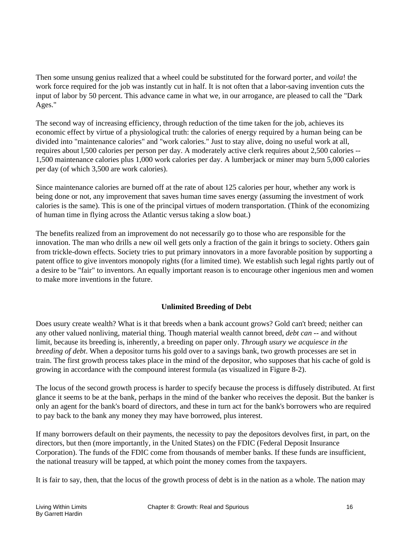Then some unsung genius realized that a wheel could be substituted for the forward porter, and *voila*! the work force required for the job was instantly cut in half. It is not often that a labor-saving invention cuts the input of labor by 50 percent. This advance came in what we, in our arrogance, are pleased to call the "Dark Ages."

The second way of increasing efficiency, through reduction of the time taken for the job, achieves its economic effect by virtue of a physiological truth: the calories of energy required by a human being can be divided into "maintenance calories" and "work calories." Just to stay alive, doing no useful work at all, requires about l,500 calories per person per day. A moderately active clerk requires about 2,500 calories -- 1,500 maintenance calories plus 1,000 work calories per day. A lumberjack or miner may burn 5,000 calories per day (of which 3,500 are work calories).

Since maintenance calories are burned off at the rate of about 125 calories per hour, whether any work is being done or not, any improvement that saves human time saves energy (assuming the investment of work calories is the same). This is one of the principal virtues of modern transportation. (Think of the economizing of human time in flying across the Atlantic versus taking a slow boat.)

The benefits realized from an improvement do not necessarily go to those who are responsible for the innovation. The man who drills a new oil well gets only a fraction of the gain it brings to society. Others gain from trickle-down effects. Society tries to put primary innovators in a more favorable position by supporting a patent office to give inventors monopoly rights (for a limited time). We establish such legal rights partly out of a desire to be "fair" to inventors. An equally important reason is to encourage other ingenious men and women to make more inventions in the future.

# **Unlimited Breeding of Debt**

Does usury create wealth? What is it that breeds when a bank account grows? Gold can't breed; neither can any other valued nonliving, material thing. Though material wealth cannot breed, *debt can* -- and without limit, because its breeding is, inherently, a breeding on paper only. *Through usury we acquiesce in the breeding of debt*. When a depositor turns his gold over to a savings bank, two growth processes are set in train. The first growth process takes place in the mind of the depositor, who supposes that his cache of gold is growing in accordance with the compound interest formula (as visualized in Figure 8-2).

The locus of the second growth process is harder to specify because the process is diffusely distributed. At first glance it seems to be at the bank, perhaps in the mind of the banker who receives the deposit. But the banker is only an agent for the bank's board of directors, and these in turn act for the bank's borrowers who are required to pay back to the bank any money they may have borrowed, plus interest.

If many borrowers default on their payments, the necessity to pay the depositors devolves first, in part, on the directors, but then (more importantly, in the United States) on the FDIC (Federal Deposit Insurance Corporation). The funds of the FDIC come from thousands of member banks. If these funds are insufficient, the national treasury will be tapped, at which point the money comes from the taxpayers.

It is fair to say, then, that the locus of the growth process of debt is in the nation as a whole. The nation may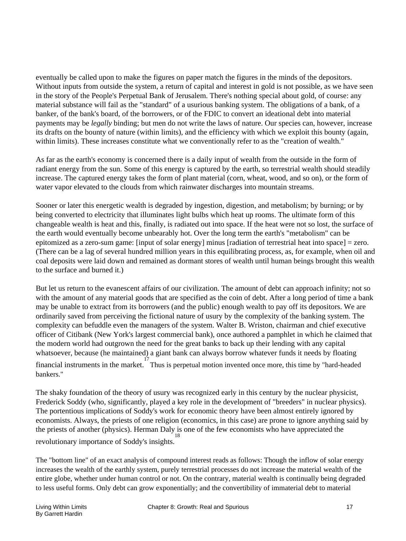eventually be called upon to make the figures on paper match the figures in the minds of the depositors. Without inputs from outside the system, a return of capital and interest in gold is not possible, as we have seen in the story of the People's Perpetual Bank of Jerusalem. There's nothing special about gold, of course: any material substance will fail as the "standard" of a usurious banking system. The obligations of a bank, of a banker, of the bank's board, of the borrowers, or of the FDIC to convert an ideational debt into material payments may be *legally* binding; but men do not write the laws of nature. Our species can, however, increase its drafts on the bounty of nature (within limits), and the efficiency with which we exploit this bounty (again, within limits). These increases constitute what we conventionally refer to as the "creation of wealth."

As far as the earth's economy is concerned there is a daily input of wealth from the outside in the form of radiant energy from the sun. Some of this energy is captured by the earth, so terrestrial wealth should steadily increase. The captured energy takes the form of plant material (corn, wheat, wood, and so on), or the form of water vapor elevated to the clouds from which rainwater discharges into mountain streams.

Sooner or later this energetic wealth is degraded by ingestion, digestion, and metabolism; by burning; or by being converted to electricity that illuminates light bulbs which heat up rooms. The ultimate form of this changeable wealth is heat and this, finally, is radiated out into space. If the heat were not so lost, the surface of the earth would eventually become unbearably hot. Over the long term the earth's "metabolism" can be epitomized as a zero-sum game: [input of solar energy] minus [radiation of terrestrial heat into space] = zero. (There can be a lag of several hundred million years in this equilibrating process, as, for example, when oil and coal deposits were laid down and remained as dormant stores of wealth until human beings brought this wealth to the surface and burned it.)

But let us return to the evanescent affairs of our civilization. The amount of debt can approach infinity; not so with the amount of any material goods that are specified as the coin of debt. After a long period of time a bank may be unable to extract from its borrowers (and the public) enough wealth to pay off its depositors. We are ordinarily saved from perceiving the fictional nature of usury by the complexity of the banking system. The complexity can befuddle even the managers of the system. Walter B. Wriston, chairman and chief executive officer of Citibank (New York's largest commercial bank), once authored a pamphlet in which he claimed that the modern world had outgrown the need for the great banks to back up their lending with any capital whatsoever, because (he maintained) a giant bank can always borrow whatever funds it needs by floating financial instruments in the market. 17 Thus is perpetual motion invented once more, this time by "hard-headed bankers."

The shaky foundation of the theory of usury was recognized early in this century by the nuclear physicist, Frederick Soddy (who, significantly, played a key role in the development of "breeders" in nuclear physics). The portentious implications of Soddy's work for economic theory have been almost entirely ignored by economists. Always, the priests of one religion (economics, in this case) are prone to ignore anything said by the priests of another (physics). Herman Daly is one of the few economists who have appreciated the revolutionary importance of Soddy's insights. 18

The "bottom line" of an exact analysis of compound interest reads as follows: Though the inflow of solar energy increases the wealth of the earthly system, purely terrestrial processes do not increase the material wealth of the entire globe, whether under human control or not. On the contrary, material wealth is continually being degraded to less useful forms. Only debt can grow exponentially; and the convertibility of immaterial debt to material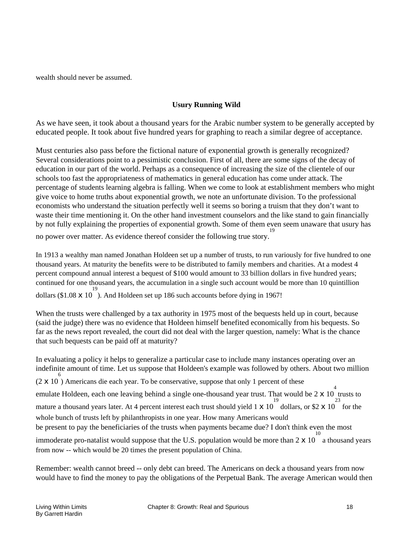wealth should never be assumed.

#### **Usury Running Wild**

As we have seen, it took about a thousand years for the Arabic number system to be generally accepted by educated people. It took about five hundred years for graphing to reach a similar degree of acceptance.

Must centuries also pass before the fictional nature of exponential growth is generally recognized? Several considerations point to a pessimistic conclusion. First of all, there are some signs of the decay of education in our part of the world. Perhaps as a consequence of increasing the size of the clientele of our schools too fast the appropriateness of mathematics in general education has come under attack. The percentage of students learning algebra is falling. When we come to look at establishment members who might give voice to home truths about exponential growth, we note an unfortunate division. To the professional economists who understand the situation perfectly well it seems so boring a truism that they don't want to waste their time mentioning it. On the other hand investment counselors and the like stand to gain financially by not fully explaining the properties of exponential growth. Some of them even seem unaware that usury has no power over matter. As evidence thereof consider the following true story. 19

In 1913 a wealthy man named Jonathan Holdeen set up a number of trusts, to run variously for five hundred to one thousand years. At maturity the benefits were to be distributed to family members and charities. At a modest 4 percent compound annual interest a bequest of \$100 would amount to 33 billion dollars in five hundred years; continued for one thousand years, the accumulation in a single such account would be more than 10 quintillion <sup>19</sup><br>dollars (\$1.08 **x** 10 ). And Holdeen set up 186 such accounts before dying in 1967!

When the trusts were challenged by a tax authority in 1975 most of the bequests held up in court, because (said the judge) there was no evidence that Holdeen himself benefited economically from his bequests. So far as the news report revealed, the court did not deal with the larger question, namely: What is the chance that such bequests can be paid off at maturity?

In evaluating a policy it helps to generalize a particular case to include many instances operating over an indefinite amount of time. Let us suppose that Holdeen's example was followed by others. About two million  $(2 \times 10^{6}$ ) Americans die each year. To be conservative, suppose that only 1 percent of these emulate Holdeen, each one leaving behind a single one-thousand year trust. That would be 2 x 10<sup>4</sup> trusts to <sup>23</sup><br>mature a thousand years later. At 4 percent interest each trust should yield 1 x 10 dollars, or \$2 x 10<sup>23</sup> for the whole bunch of trusts left by philanthropists in one year. How many Americans would be present to pay the beneficiaries of the trusts when payments became due? I don't think even the most immoderate pro-natalist would suppose that the U.S. population would be more than 2 x 10<sup>10</sup> a thousand years from now -- which would be 20 times the present population of China.

Remember: wealth cannot breed -- only debt can breed. The Americans on deck a thousand years from now would have to find the money to pay the obligations of the Perpetual Bank. The average American would then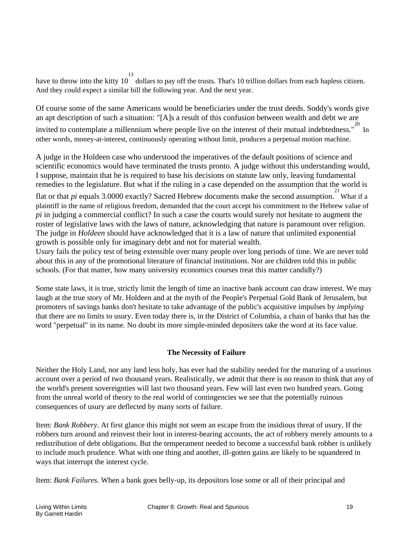have to throw into the kitty 10 dollars to pay off the trusts. That's 10 trillion dollars from each hapless citizen. And they could expect a similar bill the following year. And the next year.

13

Of course some of the same Americans would be beneficiaries under the trust deeds. Soddy's words give an apt description of such a situation: "[A]s a result of this confusion between wealth and debt we are invited to contemplate a millennium where people live on the interest of their mutual indebtedness." $^{20}$  In other words, money-at-interest, continuously operating without limit, produces a perpetual motion machine.

A judge in the Holdeen case who understood the imperatives of the default positions of science and scientific economics would have terminated the trusts pronto. A judge without this understanding would, I suppose, maintain that he is required to base his decisions on statute law only, leaving fundamental remedies to the legislature. But what if the ruling in a case depended on the assumption that the world is flat or that *pi* equals 3.0000 exactly? Sacred Hebrew documents make the second assumption. What if a plaintiff in the name of religious freedom, demanded that the court accept his commitment to the Hebrew value of *pi* in judging a commercial conflict? In such a case the courts would surely not hesitate to augment the roster of legislative laws with the laws of nature, acknowledging that nature is paramount over religion. The judge in *Holdeen* should have acknowledged that it is a law of nature that unlimited exponential growth is possible only for imaginary debt and not for material wealth.

Usury fails the policy test of being extensible over many people over long periods of time. We are never told about this in any of the promotional literature of financial institutions. Nor are children told this in public schools. (For that matter, how many university economics courses treat this matter candidly?)

Some state laws, it is true, strictly limit the length of time an inactive bank account can draw interest. We may laugh at the true story of Mr. Holdeen and at the myth of the People's Perpetual Gold Bank of Jerusalem, but promoters of savings banks don't hesitate to take advantage of the public's acquisitive impulses by *implying* that there are no limits to usury. Even today there is, in the District of Columbia, a chain of banks that has the word "perpetual" in its name. No doubt its more simple-minded depositers take the word at its face value.

# **The Necessity of Failure**

Neither the Holy Land, nor any land less holy, has ever had the stability needed for the maturing of a usurious account over a period of two thousand years. Realistically, we admit that there is no reason to think that any of the world's present sovereignties will last two thousand years. Few will last even two hundred years. Going from the unreal world of theory to the real world of contingencies we see that the potentially ruinous consequences of usury are deflected by many sorts of failure.

Item: *Bank Robbery*. At first glance this might not seem an escape from the insidious threat of usury. If the robbers turn around and reinvest their loot in interest-bearing accounts, the act of robbery merely amounts to a redistribution of debt obligations. But the temperament needed to become a successful bank robber is unlikely to include much prudence. What with one thing and another, ill-gotten gains are likely to be squandered in ways that interrupt the interest cycle.

Item: *Bank Failures*. When a bank goes belly-up, its depositors lose some or all of their principal and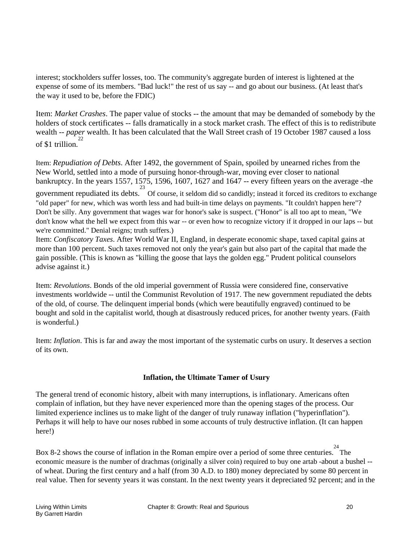interest; stockholders suffer losses, too. The community's aggregate burden of interest is lightened at the expense of some of its members. "Bad luck!" the rest of us say -- and go about our business. (At least that's the way it used to be, before the FDIC)

Item: *Market Crashes*. The paper value of stocks -- the amount that may be demanded of somebody by the holders of stock certificates -- falls dramatically in a stock market crash. The effect of this is to redistribute wealth -- *paper* wealth. It has been calculated that the Wall Street crash of 19 October 1987 caused a loss of \$1 trillion. 22

Item: *Repudiation of Debts*. After 1492, the government of Spain, spoiled by unearned riches from the New World, settled into a mode of pursuing honor-through-war, moving ever closer to national bankruptcy. In the years 1557, 1575, 1596, 1607, 1627 and 1647 -- every fifteen years on the average -the government repudiated its debts.<sup>23</sup> Of course, it seldom did so candidly; instead it forced its creditors to exchange "old paper" for new, which was worth less and had built-in time delays on payments. "It couldn't happen here"? Don't be silly. Any government that wages war for honor's sake is suspect. ("Honor" is all too apt to mean, "We don't know what the hell we expect from this war -- or even how to recognize victory if it dropped in our laps -- but we're committed." Denial reigns; truth suffers.)

Item: *Confiscatory Taxes*. After World War II, England, in desperate economic shape, taxed capital gains at more than 100 percent. Such taxes removed not only the year's gain but also part of the capital that made the gain possible. (This is known as "killing the goose that lays the golden egg." Prudent political counselors advise against it.)

Item: *Revolutions*. Bonds of the old imperial government of Russia were considered fine, conservative investments worldwide -- until the Communist Revolution of 1917. The new government repudiated the debts of the old, of course. The delinquent imperial bonds (which were beautifully engraved) continued to be bought and sold in the capitalist world, though at disastrously reduced prices, for another twenty years. (Faith is wonderful.)

Item: *Inflation*. This is far and away the most important of the systematic curbs on usury. It deserves a section of its own.

# **Inflation, the Ultimate Tamer of Usury**

The general trend of economic history, albeit with many interruptions, is inflationary. Americans often complain of inflation, but they have never experienced more than the opening stages of the process. Our limited experience inclines us to make light of the danger of truly runaway inflation ("hyperinflation"). Perhaps it will help to have our noses rubbed in some accounts of truly destructive inflation. (It can happen here!)

Box 8-2 shows the course of inflation in the Roman empire over a period of some three centuries. 24 The economic measure is the number of drachmas (originally a silver coin) required to buy one artab -about a bushel - of wheat. During the first century and a half (from 30 A.D. to 180) money depreciated by some 80 percent in real value. Then for seventy years it was constant. In the next twenty years it depreciated 92 percent; and in the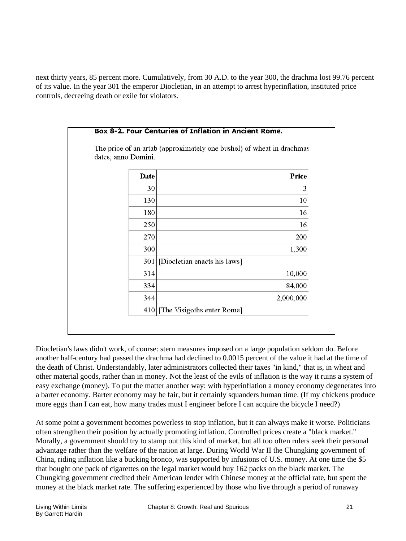next thirty years, 85 percent more. Cumulatively, from 30 A.D. to the year 300, the drachma lost 99.76 percent of its value. In the year 301 the emperor Diocletian, in an attempt to arrest hyperinflation, instituted price controls, decreeing death or exile for violators.

|                                | dates, anno Domini. |
|--------------------------------|---------------------|
| <b>Price</b>                   | <b>Date</b>         |
|                                | 30                  |
|                                | 130                 |
|                                | 180                 |
|                                | 250                 |
| 200                            | 270                 |
| 1,300                          | 300                 |
| [Diocletian enacts his laws]   | 301                 |
| 10,000                         | 314                 |
| 84,000                         | 334                 |
| 2,000,000                      | 344                 |
| 410 [The Visigoths enter Rome] |                     |

Diocletian's laws didn't work, of course: stern measures imposed on a large population seldom do. Before another half-century had passed the drachma had declined to 0.0015 percent of the value it had at the time of the death of Christ. Understandably, later administrators collected their taxes "in kind," that is, in wheat and other material goods, rather than in money. Not the least of the evils of inflation is the way it ruins a system of easy exchange (money). To put the matter another way: with hyperinflation a money economy degenerates into a barter economy. Barter economy may be fair, but it certainly squanders human time. (If my chickens produce more eggs than I can eat, how many trades must I engineer before I can acquire the bicycle I need?)

At some point a government becomes powerless to stop inflation, but it can always make it worse. Politicians often strengthen their position by actually promoting inflation. Controlled prices create a "black market." Morally, a government should try to stamp out this kind of market, but all too often rulers seek their personal advantage rather than the welfare of the nation at large. During World War II the Chungking government of China, riding inflation like a bucking bronco, was supported by infusions of U.S. money. At one time the \$5 that bought one pack of cigarettes on the legal market would buy 162 packs on the black market. The Chungking government credited their American lender with Chinese money at the official rate, but spent the money at the black market rate. The suffering experienced by those who live through a period of runaway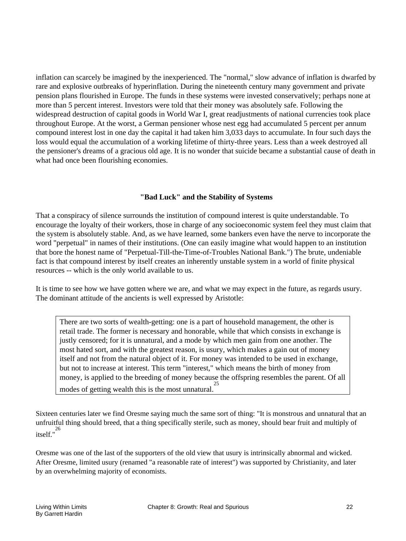inflation can scarcely be imagined by the inexperienced. The "normal," slow advance of inflation is dwarfed by rare and explosive outbreaks of hyperinflation. During the nineteenth century many government and private pension plans flourished in Europe. The funds in these systems were invested conservatively; perhaps none at more than 5 percent interest. Investors were told that their money was absolutely safe. Following the widespread destruction of capital goods in World War I, great readjustments of national currencies took place throughout Europe. At the worst, a German pensioner whose nest egg had accumulated 5 percent per annum compound interest lost in one day the capital it had taken him 3,033 days to accumulate. In four such days the loss would equal the accumulation of a working lifetime of thirty-three years. Less than a week destroyed all the pensioner's dreams of a gracious old age. It is no wonder that suicide became a substantial cause of death in what had once been flourishing economies.

#### **"Bad Luck" and the Stability of Systems**

That a conspiracy of silence surrounds the institution of compound interest is quite understandable. To encourage the loyalty of their workers, those in charge of any socioeconomic system feel they must claim that the system is absolutely stable. And, as we have learned, some bankers even have the nerve to incorporate the word "perpetual" in names of their institutions. (One can easily imagine what would happen to an institution that bore the honest name of "Perpetual-Till-the-Time-of-Troubles National Bank.") The brute, undeniable fact is that compound interest by itself creates an inherently unstable system in a world of finite physical resources -- which is the only world available to us.

It is time to see how we have gotten where we are, and what we may expect in the future, as regards usury. The dominant attitude of the ancients is well expressed by Aristotle:

There are two sorts of wealth-getting: one is a part of household management, the other is retail trade. The former is necessary and honorable, while that which consists in exchange is justly censored; for it is unnatural, and a mode by which men gain from one another. The most hated sort, and with the greatest reason, is usury, which makes a gain out of money itself and not from the natural object of it. For money was intended to be used in exchange, but not to increase at interest. This term "interest," which means the birth of money from money, is applied to the breeding of money because the offspring resembles the parent. Of all modes of getting wealth this is the most unnatural. 25

Sixteen centuries later we find Oresme saying much the same sort of thing: "It is monstrous and unnatural that an unfruitful thing should breed, that a thing specifically sterile, such as money, should bear fruit and multiply of itself." 26

Oresme was one of the last of the supporters of the old view that usury is intrinsically abnormal and wicked. After Oresme, limited usury (renamed "a reasonable rate of interest") was supported by Christianity, and later by an overwhelming majority of economists.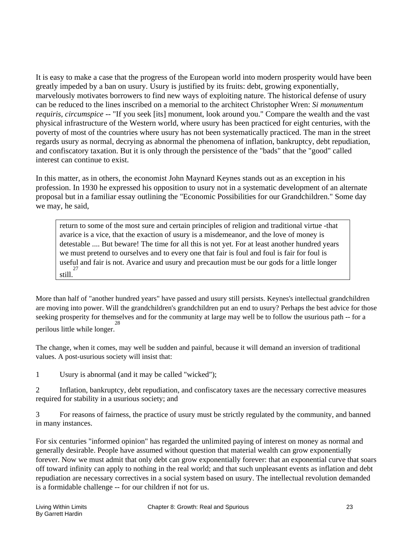It is easy to make a case that the progress of the European world into modern prosperity would have been greatly impeded by a ban on usury. Usury is justified by its fruits: debt, growing exponentially, marvelously motivates borrowers to find new ways of exploiting nature. The historical defense of usury can be reduced to the lines inscribed on a memorial to the architect Christopher Wren: *Si monumentum requiris, circumspice* -- "If you seek [its] monument, look around you." Compare the wealth and the vast physical infrastructure of the Western world, where usury has been practiced for eight centuries, with the poverty of most of the countries where usury has not been systematically practiced. The man in the street regards usury as normal, decrying as abnormal the phenomena of inflation, bankruptcy, debt repudiation, and confiscatory taxation. But it is only through the persistence of the "bads" that the "good" called interest can continue to exist.

In this matter, as in others, the economist John Maynard Keynes stands out as an exception in his profession. In 1930 he expressed his opposition to usury not in a systematic development of an alternate proposal but in a familiar essay outlining the "Economic Possibilities for our Grandchildren." Some day we may, he said,

return to some of the most sure and certain principles of religion and traditional virtue -that avarice is a vice, that the exaction of usury is a misdemeanor, and the love of money is detestable .... But beware! The time for all this is not yet. For at least another hundred years we must pretend to ourselves and to every one that fair is foul and foul is fair for foul is useful and fair is not. Avarice and usury and precaution must be our gods for a little longer still. 27

More than half of "another hundred years" have passed and usury still persists. Keynes's intellectual grandchildren are moving into power. Will the grandchildren's grandchildren put an end to usury? Perhaps the best advice for those seeking prosperity for themselves and for the community at large may well be to follow the usurious path -- for a <sup>28</sup><br>perilous little while longer.

The change, when it comes, may well be sudden and painful, because it will demand an inversion of traditional values. A post-usurious society will insist that:

1 Usury is abnormal (and it may be called "wicked");

2 Inflation, bankruptcy, debt repudiation, and confiscatory taxes are the necessary corrective measures required for stability in a usurious society; and

3 For reasons of fairness, the practice of usury must be strictly regulated by the community, and banned in many instances.

For six centuries "informed opinion" has regarded the unlimited paying of interest on money as normal and generally desirable. People have assumed without question that material wealth can grow exponentially forever. Now we must admit that only debt can grow exponentially forever: that an exponential curve that soars off toward infinity can apply to nothing in the real world; and that such unpleasant events as inflation and debt repudiation are necessary correctives in a social system based on usury. The intellectual revolution demanded is a formidable challenge -- for our children if not for us.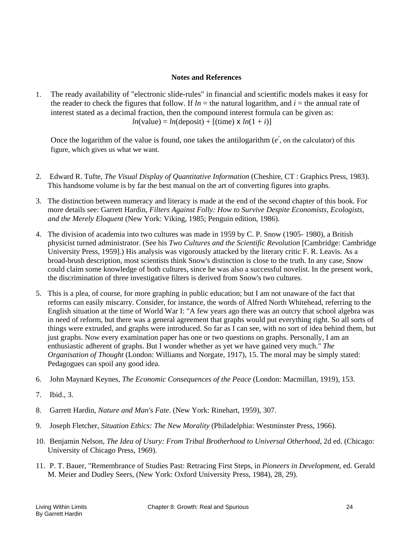#### **Notes and References**

1. The ready availability of "electronic slide-rules" in financial and scientific models makes it easy for the reader to check the figures that follow. If  $ln =$  the natural logarithm, and  $i =$  the annual rate of interest stated as a decimal fraction, then the compound interest formula can be given as:  $ln(value) = ln(deposit) + [(time) \times ln(1 + i)]$ 

Once the logarithm of the value is found, one takes the antilogarithm  $(e^{\lambda})$ , on the calculator) of this figure, which gives us what we want.

- 2. Edward R. Tufte, *The Visual Display of Quantitative Information* (Cheshire, CT : Graphics Press, 1983). This handsome volume is by far the best manual on the art of converting figures into graphs.
- 3. The distinction between numeracy and literacy is made at the end of the second chapter of this book. For more details see: Garrett Hardin, *Filters Against Folly: How to Survive Despite Economists, Ecologists, and the Merely Eloquent* (New York: Viking, 1985; Penguin edition, 1986).
- 4. The division of academia into two cultures was made in 1959 by C. P. Snow (1905- 1980), a British physicist turned administrator. (See his *Two Cultures and the Scientific Revolution* [Cambridge: Cambridge University Press, 1959].) His analysis was vigorously attacked by the literary critic F. R. Leavis. As a broad-brush description, most scientists think Snow's distinction is close to the truth. In any case, Snow could claim some knowledge of both cultures, since he was also a successful novelist. In the present work, the discrimination of three investigative filters is derived from Snow's two cultures.
- 5. This is a plea, of course, for more graphing in public education; but I am not unaware of the fact that reforms can easily miscarry. Consider, for instance, the words of Alfred North Whitehead, referring to the English situation at the time of World War I: "A few years ago there was an outcry that school algebra was in need of reform, but there was a general agreement that graphs would put everything right. So all sorts of things were extruded, and graphs were introduced. So far as I can see, with no sort of idea behind them, but just graphs. Now every examination paper has one or two questions on graphs. Personally, I am an enthusiastic adherent of graphs. But I wonder whether as yet we have gained very much." *The Organisation of Thought* (London: Williams and Norgate, 1917), 15. The moral may be simply stated: Pedagogues can spoil any good idea.
- 6. John Maynard Keynes, *The Economic Consequences of the Peace* (London: Macmillan, 1919), 153.
- 7. Ibid., 3.
- 8. Garrett Hardin, *Nature and Man's Fate*. (New York: Rinehart, 1959), 307.
- 9. Joseph Fletcher, *Situation Ethics: The New Morality* (Philadelphia: Westminster Press, 1966).
- 10. Benjamin Nelson, *The Idea of Usury: From Tribal Brotherhood to Universal Otherhood*, 2d ed. (Chicago: University of Chicago Press, 1969).
- 11. P. T. Bauer, "Remembrance of Studies Past: Retracing First Steps, in *Pioneers in Development*, ed. Gerald M. Meier and Dudley Seers, (New York: Oxford University Press, 1984), 28, 29).